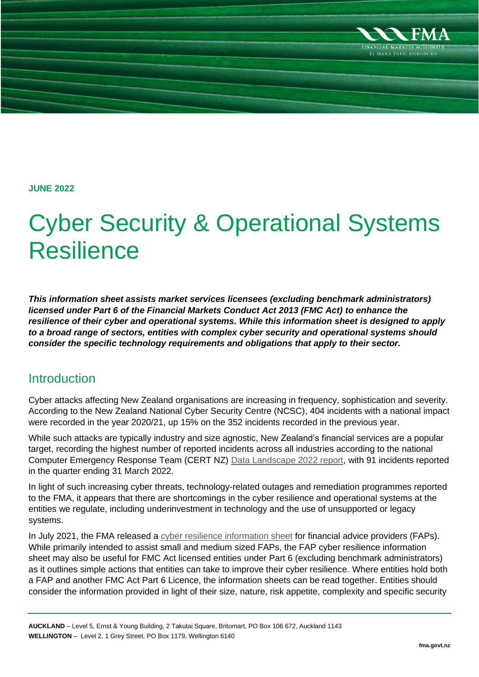

**JUNE 2022**

# Cyber Security & Operational Systems Resilience

*This information sheet assists market services licensees (excluding benchmark administrators) licensed under Part 6 of the Financial Markets Conduct Act 2013 (FMC Act) to enhance the resilience of their cyber and operational systems. While this information sheet is designed to apply to a broad range of sectors, entities with complex cyber security and operational systems should consider the specific technology requirements and obligations that apply to their sector.* 

# **Introduction**

Cyber attacks affecting New Zealand organisations are increasing in frequency, sophistication and severity. According to the New Zealand National Cyber Security Centre (NCSC), 404 incidents with a national impact were recorded in the year 2020/21, up 15% on the 352 incidents recorded in the previous year.

While such attacks are typically industry and size agnostic, New Zealand's financial services are a popular target, recording the highest number of reported incidents across all industries according to the national Computer Emergency Response Team (CERT NZ) [Data Landscape 2022 report,](https://www.cert.govt.nz/assets/Uploads/Quarterly-report/2022-q1/cert-nz-q1-2022-data-landscape-report-25-may-2022.pdf) with 91 incidents reported in the quarter ending 31 March 2022.

In light of such increasing cyber threats, technology-related outages and remediation programmes reported to the FMA, it appears that there are shortcomings in the cyber resilience and operational systems at the entities we regulate, including underinvestment in technology and the use of unsupported or legacy systems.

In July 2021, the FMA released a [cyber resilience information sheet](https://www.fma.govt.nz/assets/Guidance/Developing-cyber-resilience-for-financial-advice-providers.pdf) for financial advice providers (FAPs). While primarily intended to assist small and medium sized FAPs, the FAP cyber resilience information sheet may also be useful for FMC Act licensed entities under Part 6 (excluding benchmark administrators) as it outlines simple actions that entities can take to improve their cyber resilience. Where entities hold both a FAP and another FMC Act Part 6 Licence, the information sheets can be read together. Entities should consider the information provided in light of their size, nature, risk appetite, complexity and specific security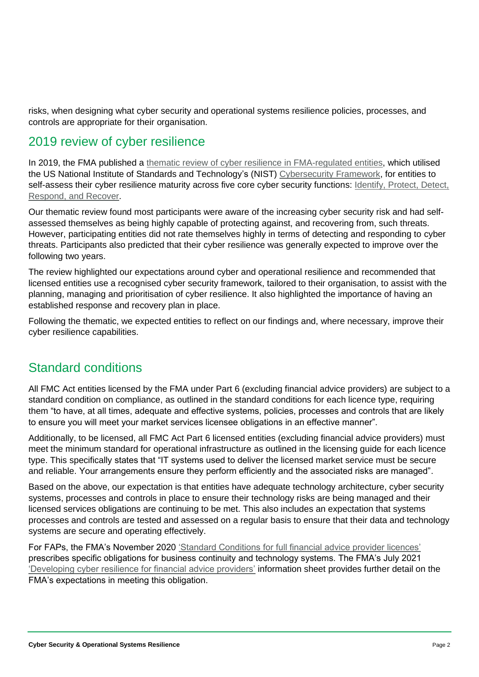risks, when designing what cyber security and operational systems resilience policies, processes, and controls are appropriate for their organisation.

# 2019 review of cyber resilience

In 2019, the FMA published a thematic review of cyber [resilience in FMA-regulated entities,](https://www.fma.govt.nz/assets/Guidance/Cyber-resilience-in-FMA-regulated-financial-services.pdf) which utilised the US National Institute of Standards and Technology's (NIST) [Cybersecurity Framework,](https://www.nist.gov/cyberframework) for entities to self-assess their cyber resilience maturity across five core cyber security functions: Identify, Protect, Detect, [Respond, and Recover.](https://www.nist.gov/cyberframework/online-learning/five-functions)

Our thematic review found most participants were aware of the increasing cyber security risk and had selfassessed themselves as being highly capable of protecting against, and recovering from, such threats. However, participating entities did not rate themselves highly in terms of detecting and responding to cyber threats. Participants also predicted that their cyber resilience was generally expected to improve over the following two years.

The review highlighted our expectations around cyber and operational resilience and recommended that licensed entities use a recognised cyber security framework, tailored to their organisation, to assist with the planning, managing and prioritisation of cyber resilience. It also highlighted the importance of having an established response and recovery plan in place.

Following the thematic, we expected entities to reflect on our findings and, where necessary, improve their cyber resilience capabilities.

# Standard conditions

All FMC Act entities licensed by the FMA under Part 6 (excluding financial advice providers) are subject to a standard condition on compliance, as outlined in the standard conditions for each licence type, requiring them "to have, at all times, adequate and effective systems, policies, processes and controls that are likely to ensure you will meet your market services licensee obligations in an effective manner".

Additionally, to be licensed, all FMC Act Part 6 licensed entities (excluding financial advice providers) must meet the minimum standard for operational infrastructure as outlined in the licensing guide for each licence type. This specifically states that "IT systems used to deliver the licensed market service must be secure and reliable. Your arrangements ensure they perform efficiently and the associated risks are managed".

Based on the above, our expectation is that entities have adequate technology architecture, cyber security systems, processes and controls in place to ensure their technology risks are being managed and their licensed services obligations are continuing to be met. This also includes an expectation that systems processes and controls are tested and assessed on a regular basis to ensure that their data and technology systems are secure and operating effectively.

For FAPs, the FMA's November 2020 ['Standard Conditions for full financial advice provider licences'](https://www.fma.govt.nz/assets/Consultations/Standard-Conditions-for-full-FAP-licences.pdf) prescribes specific obligations for business continuity and technology systems. The FMA's July 2021 ['Developing cyber resilience for financial advice providers'](https://www.fma.govt.nz/assets/Guidance/Developing-cyber-resilience-for-financial-advice-providers.pdf) information sheet provides further detail on the FMA's expectations in meeting this obligation.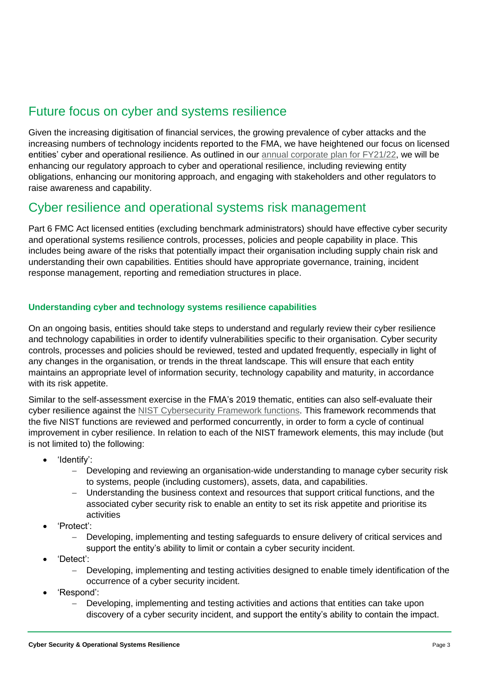# Future focus on cyber and systems resilience

Given the increasing digitisation of financial services, the growing prevalence of cyber attacks and the increasing numbers of technology incidents reported to the FMA, we have heightened our focus on licensed entities' cyber and operational resilience. As outlined in our [annual corporate plan for FY21/22,](https://www.fma.govt.nz/assets/Reports/2021-22-Annual-Corporate-Plan.pdf) we will be enhancing our regulatory approach to cyber and operational resilience, including reviewing entity obligations, enhancing our monitoring approach, and engaging with stakeholders and other regulators to raise awareness and capability.

# Cyber resilience and operational systems risk management

Part 6 FMC Act licensed entities (excluding benchmark administrators) should have effective cyber security and operational systems resilience controls, processes, policies and people capability in place. This includes being aware of the risks that potentially impact their organisation including supply chain risk and understanding their own capabilities. Entities should have appropriate governance, training, incident response management, reporting and remediation structures in place.

## **Understanding cyber and technology systems resilience capabilities**

On an ongoing basis, entities should take steps to understand and regularly review their cyber resilience and technology capabilities in order to identify vulnerabilities specific to their organisation. Cyber security controls, processes and policies should be reviewed, tested and updated frequently, especially in light of any changes in the organisation, or trends in the threat landscape. This will ensure that each entity maintains an appropriate level of information security, technology capability and maturity, in accordance with its risk appetite.

Similar to the self-assessment exercise in the FMA's 2019 thematic, entities can also self-evaluate their cyber resilience against the [NIST Cybersecurity Framework functions.](https://www.nist.gov/cyberframework) This framework recommends that the five NIST functions are reviewed and performed concurrently, in order to form a cycle of continual improvement in cyber resilience. In relation to each of the NIST framework elements, this may include (but is not limited to) the following:

- 'Identify':
	- − Developing and reviewing an organisation-wide understanding to manage cyber security risk to systems, people (including customers), assets, data, and capabilities.
	- − Understanding the business context and resources that support critical functions, and the associated cyber security risk to enable an entity to set its risk appetite and prioritise its activities
- 'Protect':
	- Developing, implementing and testing safeguards to ensure delivery of critical services and support the entity's ability to limit or contain a cyber security incident.
- 'Detect':
	- − Developing, implementing and testing activities designed to enable timely identification of the occurrence of a cyber security incident.
- 'Respond':
	- − Developing, implementing and testing activities and actions that entities can take upon discovery of a cyber security incident, and support the entity's ability to contain the impact.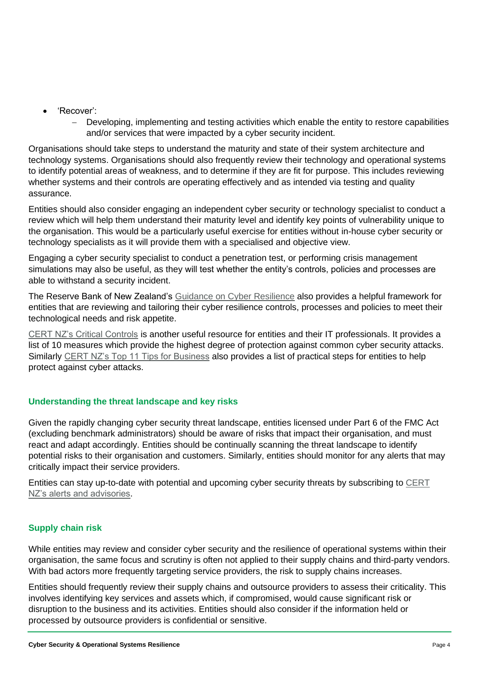- 'Recover':
	- Developing, implementing and testing activities which enable the entity to restore capabilities and/or services that were impacted by a cyber security incident.

Organisations should take steps to understand the maturity and state of their system architecture and technology systems. Organisations should also frequently review their technology and operational systems to identify potential areas of weakness, and to determine if they are fit for purpose. This includes reviewing whether systems and their controls are operating effectively and as intended via testing and quality assurance.

Entities should also consider engaging an independent cyber security or technology specialist to conduct a review which will help them understand their maturity level and identify key points of vulnerability unique to the organisation. This would be a particularly useful exercise for entities without in-house cyber security or technology specialists as it will provide them with a specialised and objective view.

Engaging a cyber security specialist to conduct a penetration test, or performing crisis management simulations may also be useful, as they will test whether the entity's controls, policies and processes are able to withstand a security incident.

The Reserve Bank of New Zealand's [Guidance on Cyber Resilience](https://www.rbnz.govt.nz/hub/news/2021/04/reserve-bank-publishes-cyber-resilience-guidance) also provides a helpful framework for entities that are reviewing and tailoring their cyber resilience controls, processes and policies to meet their technological needs and risk appetite.

[CERT NZ's Critical Controls](https://www.cert.govt.nz/it-specialists/critical-controls/) is another useful resource for entities and their IT professionals. It provides a list of 10 measures which provide the highest degree of protection against common cyber security attacks. Similarly [CERT NZ's Top 11 Tips for Business](https://www.cert.govt.nz/business/guides/top-11-cyber-security-tips-for-your-business/) also provides a list of practical steps for entities to help protect against cyber attacks.

# **Understanding the threat landscape and key risks**

Given the rapidly changing cyber security threat landscape, entities licensed under Part 6 of the FMC Act (excluding benchmark administrators) should be aware of risks that impact their organisation, and must react and adapt accordingly. Entities should be continually scanning the threat landscape to identify potential risks to their organisation and customers. Similarly, entities should monitor for any alerts that may critically impact their service providers.

Entities can stay up-to-date with potential and upcoming cyber security threats by subscribing to [CERT](https://www.cert.govt.nz/business/recent-threats/)  [NZ's alerts and advisories.](https://www.cert.govt.nz/business/recent-threats/)

# **Supply chain risk**

While entities may review and consider cyber security and the resilience of operational systems within their organisation, the same focus and scrutiny is often not applied to their supply chains and third-party vendors. With bad actors more frequently targeting service providers, the risk to supply chains increases.

Entities should frequently review their supply chains and outsource providers to assess their criticality. This involves identifying key services and assets which, if compromised, would cause significant risk or disruption to the business and its activities. Entities should also consider if the information held or processed by outsource providers is confidential or sensitive.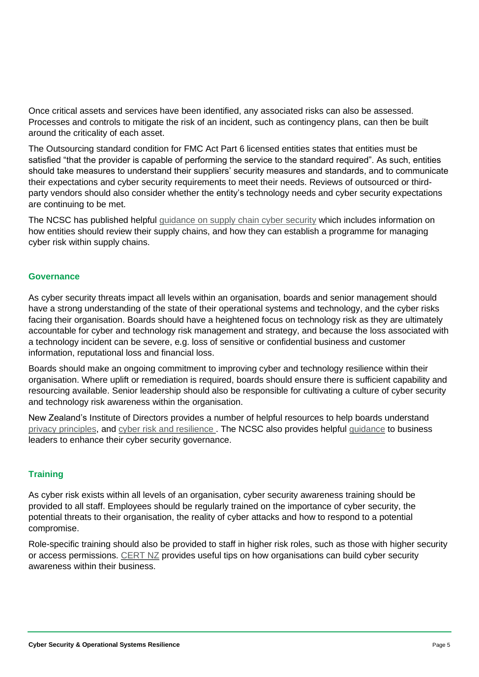Once critical assets and services have been identified, any associated risks can also be assessed. Processes and controls to mitigate the risk of an incident, such as contingency plans, can then be built around the criticality of each asset.

The Outsourcing standard condition for FMC Act Part 6 licensed entities states that entities must be satisfied "that the provider is capable of performing the service to the standard required". As such, entities should take measures to understand their suppliers' security measures and standards, and to communicate their expectations and cyber security requirements to meet their needs. Reviews of outsourced or thirdparty vendors should also consider whether the entity's technology needs and cyber security expectations are continuing to be met.

The NCSC has published helpful [guidance on supply chain cyber security](https://www.ncsc.govt.nz/guidance/in-safe-hands/) which includes information on how entities should review their supply chains, and how they can establish a programme for managing cyber risk within supply chains.

## **Governance**

As cyber security threats impact all levels within an organisation, boards and senior management should have a strong understanding of the state of their operational systems and technology, and the cyber risks facing their organisation. Boards should have a heightened focus on technology risk as they are ultimately accountable for cyber and technology risk management and strategy, and because the loss associated with a technology incident can be severe, e.g. loss of sensitive or confidential business and customer information, reputational loss and financial loss.

Boards should make an ongoing commitment to improving cyber and technology resilience within their organisation. Where uplift or remediation is required, boards should ensure there is sufficient capability and resourcing available. Senior leadership should also be responsible for cultivating a culture of cyber security and technology risk awareness within the organisation.

New Zealand's Institute of Directors provides a number of helpful resources to help boards understand [privacy principles,](https://www.iod.org.nz/resources-and-insights/guides-and-resources/new-zealands-privacy-act-is-changing-key-resources-for-directors/) and cyber [risk and resilience .](https://www.iod.org.nz/resources-and-insights/guides-and-resources/cybersecurity-resources-for-boards/) The NCSC also provides helpful [guidance](https://www.ncsc.govt.nz/guidance/charting-your-course-cyber-security-governance/) to business leaders to enhance their cyber security governance.

## **Training**

As cyber risk exists within all levels of an organisation, cyber security awareness training should be provided to all staff. Employees should be regularly trained on the importance of cyber security, the potential threats to their organisation, the reality of cyber attacks and how to respond to a potential compromise.

Role-specific training should also be provided to staff in higher risk roles, such as those with higher security or access permissions. [CERT NZ](https://www.cert.govt.nz/business/guides/cyber-security-awareness-for-your-staff/) provides useful tips on how organisations can build cyber security awareness within their business.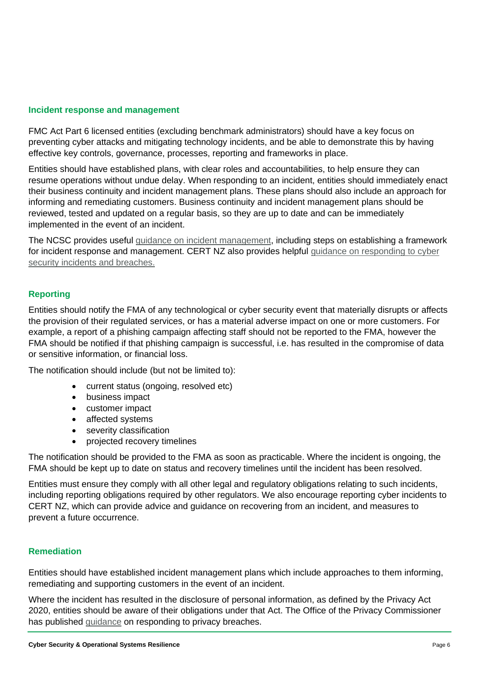#### **Incident response and management**

FMC Act Part 6 licensed entities (excluding benchmark administrators) should have a key focus on preventing cyber attacks and mitigating technology incidents, and be able to demonstrate this by having effective key controls, governance, processes, reporting and frameworks in place.

Entities should have established plans, with clear roles and accountabilities, to help ensure they can resume operations without undue delay. When responding to an incident, entities should immediately enact their business continuity and incident management plans. These plans should also include an approach for informing and remediating customers. Business continuity and incident management plans should be reviewed, tested and updated on a regular basis, so they are up to date and can be immediately implemented in the event of an incident.

The NCSC provides useful [guidance on incident management,](https://www.ncsc.govt.nz/assets/NCSC-Documents/NCSC-Incident-Management-Be-Resilient-Be-Prepared.pdf) including steps on establishing a framework for incident response and management. CERT NZ also provides helpful quidance on responding to cyber [security incidents and breaches.](https://www.cert.govt.nz/business/guides/incident-response-plan/)

## **Reporting**

Entities should notify the FMA of any technological or cyber security event that materially disrupts or affects the provision of their regulated services, or has a material adverse impact on one or more customers. For example, a report of a phishing campaign affecting staff should not be reported to the FMA, however the FMA should be notified if that phishing campaign is successful, i.e. has resulted in the compromise of data or sensitive information, or financial loss.

The notification should include (but not be limited to):

- current status (ongoing, resolved etc)
- business impact
- customer impact
- affected systems
- severity classification
- projected recovery timelines

The notification should be provided to the FMA as soon as practicable. Where the incident is ongoing, the FMA should be kept up to date on status and recovery timelines until the incident has been resolved.

Entities must ensure they comply with all other legal and regulatory obligations relating to such incidents, including reporting obligations required by other regulators. We also encourage reporting cyber incidents to CERT NZ, which can provide advice and guidance on recovering from an incident, and measures to prevent a future occurrence.

#### **Remediation**

Entities should have established incident management plans which include approaches to them informing, remediating and supporting customers in the event of an incident.

Where the incident has resulted in the disclosure of personal information, as defined by the Privacy Act 2020, entities should be aware of their obligations under that Act. The Office of the Privacy Commissioner has published [guidance](https://www.privacy.org.nz/responsibilities/privacy-breaches/responding-to-privacy-breaches/#:~:text=Under%20the%20Privacy%20Act%202020,as%20you%20are%20practically%20able.) on responding to privacy breaches.